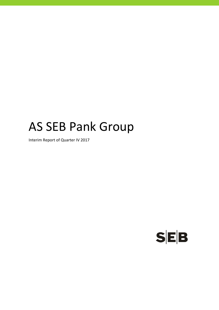# AS SEB Pank Group

Interim Report of Quarter IV 2017

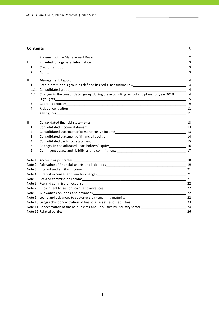#### **Contents** P.

| I       |
|---------|
| ۱<br>۰. |

|      |                                                                                                                                                                                                                               | $\overline{2}$ |
|------|-------------------------------------------------------------------------------------------------------------------------------------------------------------------------------------------------------------------------------|----------------|
| ı.   |                                                                                                                                                                                                                               | 3              |
| 1.   |                                                                                                                                                                                                                               | 3              |
| 2.   |                                                                                                                                                                                                                               | 3              |
| II.  | <b>Management Report</b>                                                                                                                                                                                                      | $\overline{4}$ |
| 1.   | Credit institution's group as defined in Credit Institutions Law___________________________________                                                                                                                           | $\overline{4}$ |
| 1.1. |                                                                                                                                                                                                                               | $\overline{4}$ |
| 1.2. | Changes in the consolidated group during the accounting period and plans for year 2018                                                                                                                                        | $\overline{4}$ |
| 2.   |                                                                                                                                                                                                                               | 5              |
| 3.   |                                                                                                                                                                                                                               | 9              |
| 4.   |                                                                                                                                                                                                                               |                |
| 5.   |                                                                                                                                                                                                                               | 11             |
| III. |                                                                                                                                                                                                                               |                |
| 1.   |                                                                                                                                                                                                                               |                |
| 2.   | Consolidated statement of comprehensive income 13 and 20 years and 20 years and 20 years at 20 years and 20 years at 20 years at 20 years at 20 years at 20 years at 20 years at 20 years at 20 years at 20 years at 20 years |                |
| 3.   |                                                                                                                                                                                                                               |                |
| 4.   |                                                                                                                                                                                                                               |                |
| 5.   |                                                                                                                                                                                                                               |                |
| 6.   |                                                                                                                                                                                                                               |                |
|      |                                                                                                                                                                                                                               | 18             |
|      |                                                                                                                                                                                                                               |                |
|      | Note 3 Interest and similar income<br><u> 2000 - 2000 - 2000 - 2000 - 2000 - 2000 - 2000 - 2000 - 2000 - 2000 - 2000 - 2000 - 2000 - 2000 - 2000 - 200</u>                                                                    | 21             |
|      |                                                                                                                                                                                                                               | 21             |
|      |                                                                                                                                                                                                                               |                |
|      |                                                                                                                                                                                                                               |                |
|      |                                                                                                                                                                                                                               |                |
|      |                                                                                                                                                                                                                               | 22             |
|      |                                                                                                                                                                                                                               |                |
|      |                                                                                                                                                                                                                               |                |
|      |                                                                                                                                                                                                                               |                |
|      | Note 12 Related parties                                                                                                                                                                                                       | 26             |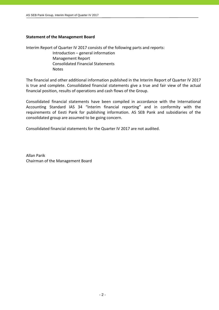# **Statement of the Management Board**

Interim Report of Quarter IV 2017 consists of the following parts and reports:

 Introduction – general information Management Report Consolidated Financial Statements Notes

The financial and other additional information published in the Interim Report of Quarter IV 2017 is true and complete. Consolidated financial statements give a true and fair view of the actual financial position, results of operations and cash flows of the Group.

Consolidated financial statements have been compiled in accordance with the International Accounting Standard IAS 34 "Interim financial reporting" and in conformity with the requirements of Eesti Pank for publishing information. AS SEB Pank and subsidiaries of the consolidated group are assumed to be going concern.

Consolidated financial statements for the Quarter IV 2017 are not audited.

Allan Parik Chairman of the Management Board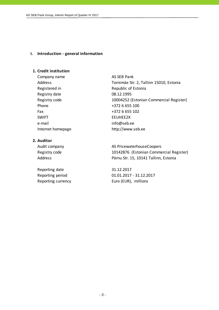#### **I. Introduction ‐ general information**

# **1. Credit institution**

Company name AS SEB Pank Registered in Republic of Estonia Registry date 08.12.1995 Phone  $+3726655100$ Fax +372 6 655 102 SWIFT EEUHEE2X e-mail info@seb.ee Internet homepage http://www.seb.ee

## **2. Auditor**

Reporting date 31.12.2017

Address Tornimäe Str. 2, Tallinn 15010, Estonia Registry code 10004252 (Estonian Commercial Register)

Audit company and all the AS PricewaterhouseCoopers Registry code 10142876 (Estonian Commercial Register) Address Pärnu Str. 15, 10141 Tallinn, Estonia

Reporting period 01.01.2017 - 31.12.2017 Reporting currency Euro (EUR), millions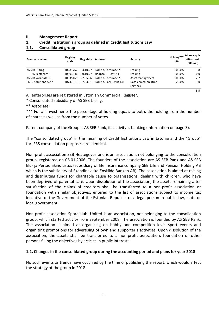# **II. Management Report**

# **1. Credit institution's group as defined in Credit Institutions Law**

# **1.1. Consolidated group**

| Company name         | Registry<br>code | Reg. date | <b>Address</b>         | Activity                       | Holding***<br>(%) | At an acqui-<br>sition cost<br>(EURmio) |
|----------------------|------------------|-----------|------------------------|--------------------------------|-------------------|-----------------------------------------|
| AS SEB Liising       | 10281767         | 03.10.97  | Tallinn, Tornimäe 2    | Leasing                        | 100.0%            | 1.8                                     |
| AS Rentacar*         | 10303546         | 20.10.97  | Haapsalu, Posti 41     | Leasing                        | 100.0%            | 0.0                                     |
| AS SEB Varahaldus    | 10035169         | 22.05.96  | Tallinn. Tornimäe 2    | Asset management               | 100.0%            | 2.7                                     |
| SK ID Solutions AS** | 10747013         | 27.03.01  | Tallinn, Pärnu mnt 141 | Data communication<br>services | 25.0%             | 1.0                                     |

All enterprises are registered in Estonian Commercial Register.

\* Consolidated subsidiary of AS SEB Liising.

\*\* Associate.

\*\*\* For all investments the percentage of holding equals to both, the holding from the number of shares as well as from the number of votes.

**5.5**

Parent company of the Group is AS SEB Pank, its activity is banking (information on page 3).

The "consolidated group" in the meaning of Credit Institutions Law in Estonia and the "Group" for IFRS consolidation purposes are identical.

Non‐profit association SEB Heategevusfond is an association, not belonging to the consolidation group, registered on 06.01.2006. The founders of the association are AS SEB Pank and AS SEB Elu‐ ja Pensionikindlustus (subsidiary of life insurance company SEB Life and Pension Holding AB which is the subsidiary of Skandinaviska Enskilda Banken AB). The association is aimed at raising and distributing funds for charitable cause to organisations, dealing with children, who have been deprived of parental care. Upon dissolution of the association, the assets remaining after satisfaction of the claims of creditors shall be transferred to a non-profit association or foundation with similar objectives, entered to the list of associations subject to income tax incentive of the Government of the Estonian Republic, or a legal person in public law, state or local government.

Non‐profit association Spordiklubi United is an association, not belonging to the consolidation group, which started activity from September 2008. The association is founded by AS SEB Pank. The association is aimed at organizing on hobby and competition level sport events and organizing promotions for advertising of own and supporter´s activities. Upon dissolution of the association, the assets shall be transferred to a non‐profit association, foundation or other persons filling the objectives by articles in public interests.

# **1.2. Changes in the consolidated group during the accounting period and plans for year 2018**

No such events or trends have occurred by the time of publishing the report, which would affect the strategy of the group in 2018.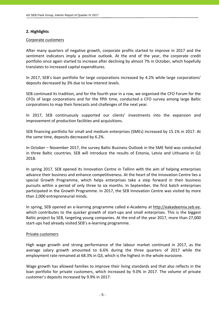## **2. Highlights**

#### Corporate customers

After many quarters of negative growth, corporate profits started to improve in 2017 and the sentiment indicators imply a positive outlook. At the end of the year, the corporate credit portfolio once again started to increase after declining by almost 7% in October, which hopefully translates to increased capital expenditures.

In 2017, SEB's loan portfolio for large corporations increased by 4.2% while large corporations' deposits decreased by 3% due to low interest levels.

SEB continued its tradition, and for the fourth year in a row, we organised the CFO Forum for the CFOs of large corporations and for the fifth time, conducted a CFO survey among large Baltic corporations to map their forecasts and challenges of the next year.

In 2017, SEB continuously supported our clients' investments into the expansion and improvement of production facilities and acquisitions.

SEB financing portfolio for small and medium enterprises (SMEs) increased by 15.1% in 2017. At the same time, deposits decreased by 6.2%.

In October – November 2017, the survey Baltic Business Outlook in the SME field was conducted in three Baltic countries. SEB will introduce the results of Estonia, Latvia and Lithuania in Q1 2018.

In spring 2017, SEB opened its Innovation Centre in Tallinn with the aim of helping enterprises advance their business and enhance competitiveness. At the heart of the Innovation Centre lies a special Growth Programme, which helps enterprises take a step forward in their business pursuits within a period of only three to six months. In September, the first batch enterprises participated in the Growth Programme. In 2017, the SEB Innovation Centre was visited by more than 2,000 entrepreneurial minds.

In spring, SEB opened an e‐learning programme called e‐Academy at http://eakadeemia.seb.ee, which contributes to the quicker growth of start-ups and small enterprises. This is the biggest Baltic project by SEB, targeting young companies. At the end of the year 2017, more than 27,000 start‐ups had already visited SEB's e‐learning programme.

#### Private customers

High wage growth and strong performance of the labour market continued in 2017, as the average salary growth amounted to 6.6% during the three quarters of 2017 while the employment rate remained at 68.3% in Q3, which is the highest in the whole eurozone.

Wage growth has allowed families to improve their living standards and that also reflects in the loan portfolio for private customers, which increased by 9.0% in 2017. The volume of private customer's deposits increased by 9.9% in 2017.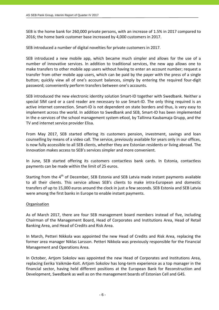SEB is the home bank for 260,000 private persons, with an increase of 1.5% in 2017 compared to 2016; the home bank customer base increased by 4,000 customers in 2017.

SEB introduced a number of digital novelties for private customers in 2017.

SEB introduced a new mobile app, which became much simpler and allows for the use of a number of innovative services. In addition to traditional services, the new app allows one to make transfers to other mobile app users without having to enter an account number; request a transfer from other mobile app users, which can be paid by the payer with the press of a single button; quickly view all of one's account balances, simply by entering the required four‐digit password; conveniently perform transfers between one's accounts.

SEB introduced the new electronic identity solution Smart‐ID together with Swedbank. Neither a special SIM card or a card reader are necessary to use Smart-ID. The only thing required is an active internet connection. Smart‐ID is not dependent on state borders and thus, is very easy to implement across the world. In addition to Swedbank and SEB, Smart‐ID has been implemented in the e‐services of the school management system eKool, by Tallinna Kaubamaja Grupp, and the TV and internet service provider Elisa.

From May 2017, SEB started offering its customers pension, investment, savings and loan counselling by means of a video call. The service, previously available for years only in our offices, is now fully accessible to all SEB clients, whether they are Estonian residents or living abroad. The innovation makes access to SEB's services simpler and more convenient.

In June, SEB started offering its customers contactless bank cards. In Estonia, contactless payments can be made within the limit of 25 euros.

Starting from the 4<sup>th</sup> of December, SEB Estonia and SEB Latvia made instant payments available to all their clients. This service allows SEB's clients to make intra‐European and domestic transfers of up to 15,000 euros around the clock in just a few seconds. SEB Estonia and SEB Latvia were among the first banks in Europe to enable instant payments.

# **Organisation**

As of March 2017, there are four SEB management board members instead of five, including Chairman of the Management Board, Head of Corporates and Institutions Area, Head of Retail Banking Area, and Head of Credits and Risk Area.

In March, Petteri Nikkola was appointed the new Head of Credits and Risk Area, replacing the former area manager Niklas Larsson. Petteri Nikkola was previously responsible for the Financial Management and Operations Area.

In October, Artjom Sokolov was appointed the new Head of Corporates and Institutions Area, replacing Eerika Vaikmäe‐Koit. Artjom Sokolov has long‐term experience as a top manager in the financial sector, having held different positions at the European Bank for Reconstruction and Development, Swedbank as well as on the management boards of Estonian Cell and G4S.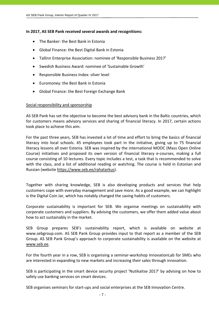# **In 2017, AS SEB Pank received several awards and recognitions:**

- The Banker: the Best Bank in Estonia
- Global Finance: the Best Digital Bank in Estonia
- Tallinn Enterprise Association: nominee of 'Responsible Business 2017'
- Swedish Business Award: nominee of 'Sustainable Growth'
- Responsible Business Index: silver level
- Euromoney: the Best Bank in Estonia
- Global Finance: the Best Foreign Exchange Bank

# Social responsibility and sponsorship

AS SEB Pank has set the objective to become the best advisory bank in the Baltic countries, which for customers means advisory services and sharing of financial literacy. In 2017, certain actions took place to achieve this aim.

For the past three years, SEB has invested a lot of time and effort to bring the basics of financial literacy into local schools. 45 employees took part in the initiative, giving up to 75 financial literacy lessons all over Estonia. SEB was inspired by the international MOOC (Mass Open Online Course) initiatives and proposed its own version of financial literacy e‐courses, making a full course consisting of 10 lectures. Every topic includes a test, a task that is recommended to solve with the class, and a list of additional reading or watching. The course is held in Estonian and Russian (website https://www.seb.ee/rahatarkus).

Together with sharing knowledge, SEB is also developing products and services that help customers cope with everyday management and save more. As a good example, we can highlight is the Digital Coin Jar, which has notably changed the saving habits of customers.

Corporate sustainability is important for SEB. We organise meetings on sustainability with corporate customers and suppliers. By advising the customers, we offer them added value about how to act sustainably in the market.

SEB Group prepares SEB's sustainability report, which is available on website at www.sebgroup.com. AS SEB Pank Group provides input to that report as a member of the SEB Group. AS SEB Pank Group's approach to corporate sustainability is available on the website at www.seb.ee.

For the fourth year in a row, SEB is organising a seminar‐workshop InnovationLab for SMEs who are interested in expanding to new markets and increasing their sales through innovation.

SEB is participating in the smart device security project 'Nutikaitse 2017' by advising on how to safely use banking services on smart devices.

SEB organises seminars for start‐ups and social enterprises at the SEB Innovation Centre.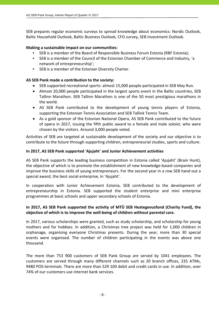SEB prepares regular economic surveys to spread knowledge about economics: Nordic Outlook, Baltic Household Outlook, Baltic Business Outlook, CFO survey, SEB Investment Outlook.

# **Making a sustainable impact on our communities:**

- SEB is a member of the Board of Responsible Business Forum Estonia (RBF Estonia);
- SEB is a member of the Council of the Estonian Chamber of Commerce and Industry, 'a network of entrepreneurship';
- SEB is a member of the Estonian Diversity Charter.

# **AS SEB Pank made a contribution to the society:**

- SEB supported recreational sports: almost 15,000 people participated in SEB May Run.
- Almost 20,000 people participated in the largest sports event in the Baltic countries, SEB Tallinn Marathon. SEB Tallinn Marathon is one of the 50 most prestigious marathons in the world.
- AS SEB Pank contributed to the development of young tennis players of Estonia, supporting the Estonian Tennis Association and SEB Tallink Tennis Team.
- As a gold sponsor of the Estonian National Opera, AS SEB Pank contributed to the future of opera in 2017, issuing the fifth public award to a female and male soloist, who were chosen by the visitors. Around 3,000 people voted.

Activities of SEB are targeted at sustainable development of the society and our objective is to contribute to the future through supporting children, entrepreneurial studies, sports and culture.

# **In 2017, AS SEB Pank supported** '**Ajujaht**' **and Junior Achievement activities**

AS SEB Pank supports the leading business competition in Estonia called 'Ajujaht' (Brain Hunt), the objective of which is to promote the establishment of new knowledge‐based companies and improve the business skills of young entrepreneurs. For the second year in a row SEB hand out a special award, the best social enterprise, in 'Ajujaht'.

In cooperation with Junior Achievement Estonia, SEB contributed to the development of entrepreneurship in Estonia. SEB supported the student enterprise and mini enterprise programmes at basic schools and upper secondary schools of Estonia.

# **In 2017, AS SEB Pank supported the activity of MTÜ SEB Heategevusfond (Charity Fund), the objective of which is to improve the well‐being of children without parental care.**

In 2017, various scholarships were granted, such as study scholarship, and scholarship for young mothers and for hobbies. In addition, a Christmas tree project was held for 1,000 children in orphanage, organising everyone Christmas presents. During the year, more than 30 special events were organised. The number of children participating in the events was above one thousand.

The more than 753 900 customers of SEB Pank Group are served by 1041 employees. The customers are served through many different channels such as 20 branch offices, 235 ATMs, 9480 POS-terminals. There are more than 529 100 debit and credit cards in use. In addition, over 74% of our customers use internet bank services.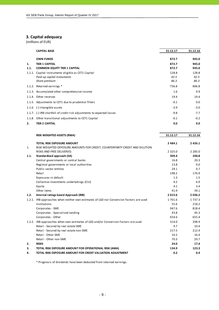# **3. Capital adequacy**

(millions of EUR)

|        | <b>CAPITAL BASE</b>                                                    | 31.12.17 | 31.12.16 |
|--------|------------------------------------------------------------------------|----------|----------|
|        | <b>OWN FUNDS</b>                                                       | 872.7    | 945.0    |
| 1.     | <b>TIER 1 CAPITAL</b>                                                  | 872.7    | 945.0    |
| 1.1.   | <b>COMMON EQUITY TIER 1 CAPITAL</b>                                    | 872.7    | 945.0    |
| 1.1.1. | Capital instruments eligible as CET1 Capital                           | 128.8    | 128.8    |
|        | Paid up capital instruments                                            | 42.5     | 42.5     |
|        | Share premium                                                          | 86.3     | 86.3     |
|        | 1.1.2. Retained earnings *                                             | 736.8    | 806.8    |
|        | 1.1.3. Accumulated other comprehensive income                          | 1.6      | 0.9      |
|        | 1.1.4. Other reserves                                                  | 19.4     | 19.4     |
|        | 1.1.5. Adjustments to CET1 due to prudential filters                   | $-0.1$   | 0.0      |
|        | 1.1.6. (-) Intangible assets                                           | $-3.9$   | $-3.0$   |
|        | 1.1.7. (-) IRB shortfall of credit risk adjustments to expected losses | $-9.8$   | $-7.7$   |
|        | 1.1.8. Other transitional adjustments to CET1 Capital                  | $-0.1$   | $-0.2$   |
| 2.     | <b>TIER 2 CAPITAL</b>                                                  | 0.0      | 0.0      |

|      | <b>RISK WEIGHTED ASSETS (RWA)</b>                                                       | 31.12.17   | 31.12.16   |
|------|-----------------------------------------------------------------------------------------|------------|------------|
|      | <b>TOTAL RISK EXPOSURE AMOUNT</b>                                                       | 2 4 8 4 .1 | 2 4 2 6 .1 |
| 1.   | RISK WEIGHTED EXPOSURE AMOUNTS FOR CREDIT, COUNTERPARTY CREDIT AND DILUTION             |            |            |
|      | RISKS AND FREE DELIVERIES                                                               | 2 3 2 5 .0 | 2 2 8 5 .0 |
| 1.1. | Standardised approach (SA)                                                              | 309.4      | 248.8      |
|      | Central governments or central banks                                                    | 16.8       | 20.3       |
|      | Regional governments or local authorities                                               | 13.8       | 0.0        |
|      | Public sector entities                                                                  | 29.1       | 0.7        |
|      | Retail                                                                                  | 198.2      | 176.9      |
|      | Exposures in default                                                                    | 1.3        | 1.5        |
|      | Collective investments undertakings (CIU)                                               | 4.2        | 6.9        |
|      | Equity                                                                                  | 4.1        | 3.4        |
|      | Other items                                                                             | 41.9       | 39.1       |
| 1.2. | Internal ratings based Approach (IRB)                                                   | 2015.6     | 2 0 3 6 .2 |
|      | 1.2.1. IRB approaches when neither own estimates of LGD nor Conversion Factors are used | 1 701.6    | 1737.3     |
|      | Institutions                                                                            | 55.6       | 218.2      |
|      | Corporates - SME                                                                        | 947.6      | 818.4      |
|      | Corporates - Specialised Lending                                                        | 43.8       | 45.3       |
|      | Corporates - Other                                                                      | 654.6      | 655.4      |
|      | 1.2.2. IRB approaches when own estimates of LGD and/or Conversion Factors are used      | 314.0      | 298.9      |
|      | Retail - Secured by real estate SME                                                     | 9.7        | 10.4       |
|      | Retail - Secured by real estate non-SME                                                 | 217.5      | 212.4      |
|      | Retail - Other SME                                                                      | 16.5       | 16.4       |
|      | Retail - Other non-SME                                                                  | 70.3       | 59.7       |
| 2.   | <b>RISKS</b>                                                                            | 24.0       | 17.4       |
| 3.   | TOTAL RISK EXPOSURE AMOUNT FOR OPERATIONAL RISK (AMA)                                   | 134.9      | 123.3      |
| 4.   | TOTAL RISK EXPOSURE AMOUNT FOR CREDIT VALUATION ADJUSTMENT                              | 0.2        | 0.4        |

\* Prognosis of dividends have been deducted from retained earnings.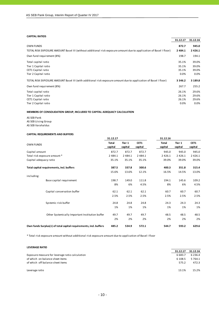#### **CAPITAL RATIOS**

|                                                                                                                    | 31.12.17    | 31.12.16    |
|--------------------------------------------------------------------------------------------------------------------|-------------|-------------|
| <b>OWN FUNDS</b>                                                                                                   | 872.7       | 945.0       |
| TOTAL RISK EXPOSURE AMOUNT Basel III (without additional risk exposure amount due to application of Basel I floor) | 2 4 8 4 . 1 | 2 4 2 6 .1  |
| Own fund requirement (8%)                                                                                          | 198.7       | 194.1       |
| Total capital ratio                                                                                                | 35.1%       | 39.0%       |
| Tier 1 Capital ratio                                                                                               | 35.1%       | 39.0%       |
| CET1 Capital ratio                                                                                                 | 35.1%       | 39.0%       |
| Tier 2 Capital ratio                                                                                               | 0.0%        | $0.0\%$     |
| TOTAL RISK EXPOSURE AMOUNT Basel III (with additional risk exposure amount due to application of Basel I floor)    | 3 3 4 6 .2  | 3 1 8 9 . 8 |
| Own fund requirement (8%)                                                                                          | 267.7       | 255.2       |
| Total capital ratio                                                                                                | 26.1%       | 29.6%       |
| Tier 1 Capital ratio                                                                                               | 26.1%       | 29.6%       |
| CET1 Capital ratio                                                                                                 | 26.1%       | 29.6%       |
| Tier 2 Capital ratio                                                                                               | 0.0%        | $0.0\%$     |

#### **MEMBERS OF CONSOLIDATION GROUP, INCLUDED TO CAPITAL ADEQUACY CALCULATION**

AS SEB Pank AS SEB Liising Group AS SEB Varahaldus

#### **CAPITAL REQUIREMENTS AND BUFFERS**

|                        |                                                                   | 31.12.17                |                   |                 | 31.12.16         |                   |                 |
|------------------------|-------------------------------------------------------------------|-------------------------|-------------------|-----------------|------------------|-------------------|-----------------|
| <b>OWN FUNDS</b>       |                                                                   | <b>Total</b><br>capital | Tier 1<br>capital | CET1<br>capital | Total<br>capital | Tier 1<br>capital | CET1<br>capital |
| Capital amount         |                                                                   | 872.7                   | 872.7             | 872.7           | 945.0            | 945.0             | 945.0           |
|                        | Total risk exposure amount *                                      | 2 4 8 4 . 1             | 2 4 8 4 . 1       | 2 4 8 4 . 1     | 2 4 2 6 . 1      | 2 4 2 6 . 1       | 2 4 2 6 . 1     |
| Capital adequacy ratio |                                                                   | 35.1%                   | 35.1%             | 35.1%           | 39.0%            | 39.0%             | 39.0%           |
|                        | Total capital requirements, incl. buffers                         | 387.5                   | 337.8             | 300.6           | 400.3            | 351.8             | 315.4           |
|                        |                                                                   | 15.6%                   | 13.6%             | 12.1%           | 16.5%            | 14.5%             | 13.0%           |
| including:             |                                                                   |                         |                   |                 |                  |                   |                 |
|                        | Base capital requirement                                          | 198.7                   | 149.0             | 111.8           | 194.1            | 145.6             | 109.2           |
|                        |                                                                   | 8%                      | 6%                | 4.5%            | 8%               | 6%                | 4.5%            |
|                        | Capital conservation buffer                                       | 62.1                    | 62.1              | 62.1            | 60.7             | 60.7              | 60.7            |
|                        |                                                                   | 2.5%                    | 2.5%              | 2.5%            | 2.5%             | 2.5%              | 2.5%            |
|                        | Systemic risk buffer                                              | 24.8                    | 24.8              | 24.8            | 24.3             | 24.3              | 24.3            |
|                        |                                                                   | 1%                      | 1%                | 1%              | 1%               | 1%                | 1%              |
|                        | Other Systemically Important Institution buffer                   | 49.7                    | 49.7              | 49.7            | 48.5             | 48.5              | 48.5            |
|                        |                                                                   | 2%                      | 2%                | 2%              | 2%               | 2%                | 2%              |
|                        | Own funds Surplus(+) of total capital requirements, incl. buffers | 485.2                   | 534.9             | 572.1           | 544.7            | 593.2             | 629.6           |

\* Total risk exposure amount without additional risk exposure amount due to application of Basel I floor

| <b>LEVERAGE RATIO</b>                           |           |             |
|-------------------------------------------------|-----------|-------------|
|                                                 | 31.12.17  | 31.12.16    |
| Exposure measure for leverage ratio calculation | 6 6 8 3.7 | 6 2 3 6 .4  |
| of which on balance sheet items                 | 6 108.5   | 5 7 6 4 . 1 |
| of which off balance sheet items                | 575.2     | 472.3       |
| Leverage ratio                                  | 13.1%     | 15.2%       |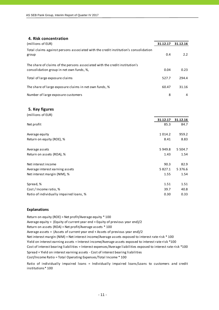# **4. Risk concentration**

| (millions of EUR)                                                                                                       | 31.12.17 | 31.12.16      |
|-------------------------------------------------------------------------------------------------------------------------|----------|---------------|
| Total claims against persons associated with the credit institution's consolidation<br>group                            | 0.4      | $2.2^{\circ}$ |
| The share of claims of the persons associated with the credit institution's<br>consolidation group in net own funds, %, | 0.04     | 0.23          |
| Total of large exposure claims                                                                                          | 527.7    | 294.4         |
| The share of large exposure claims in net own funds, %                                                                  | 60.47    | 31.16         |
| Number of large exposure customers                                                                                      | 8        | 4             |

#### **5. Key figures**

| (millions of EUR)                       |             |            |
|-----------------------------------------|-------------|------------|
|                                         | 31.12.17    | 31.12.16   |
| Net profit                              | 85.3        | 84.7       |
| Average equity                          | 1 0 1 4 .2  | 959.2      |
| Return on equity (ROE), %               | 8.41        | 8.83       |
| Average assets                          | 5 949.8     | 5 5 0 4 .7 |
| Return on assets (ROA), %               | 1.43        | 1.54       |
| Net interest income                     | 90.3        | 82.9       |
| Average interest earning assets         | 5 8 2 7 . 1 | 5 3 7 6 .6 |
| Net interest margin (NIM), %            | 1.55        | 1.54       |
| Spread, %                               | 1.51        | 1.51       |
| Cost / Income ratio, %                  | 39.7        | 40.8       |
| Ratio of individually impaired loans, % | 0.30        | 0.33       |

#### **Explanations**

Return on equity (ROE) = Net profit/Average equity \* 100 Average equity = (Equity of current year end + Equity of previous year end)/2 Return on assets (ROA) = Net profit/Average assets \* 100 Average assets = (Assets of current year end + Assets of previous year end)/2 Cost of interest bearing liabilities = Interest expenses/Average liabilities exposed to interest rate risk \*100 Cost/Income Ratio = Total Operating Expenses/Total Income \* 100 Net interest margin (NIM) = Net interest income/Average assets exposed to interest rate risk \* 100 Yield on interest earning assets = Interest income/Average assets exposed to interest rate risk \*100 Spread = Yield on interest earning assets ‐ Cost of interest bearing liabilities

Ratio of individually impaired loans = Individually impaired loans/Loans to customers and credit institutions\* 100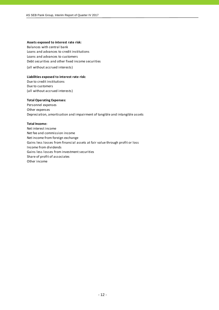#### **Assets exposed to interest rate risk:**

Balances with central bank Loans and advances to credit institutions Loans and advances to customers Debt securities and other fixed income securities

(all without accrued interests)

#### **Liabilities exposed to interest rate risk:**

Due to credit institutions Due to customers (all without accrued interests)

#### **Total Operating Expenses:**

Personnel expenses Other expenses Depreciation, amortisation and impairment of tangible and intangible assets

#### **Total Income:**

Net interest income Net fee and commission income Net income from foreign exchange Gains less losses from financial assets at fair value through profit or loss Income from dividends Gains less losses from investment securities Share of profit of associates Other income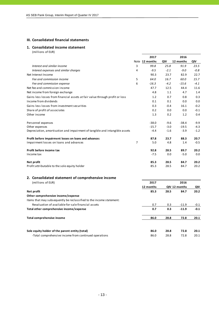#### **III. Consolidated financial statements**

#### **1. Consolidated income statement**

|                                                                              |                | 2017           |        | 2016          |        |
|------------------------------------------------------------------------------|----------------|----------------|--------|---------------|--------|
|                                                                              |                | Note 12 months | QIV    | 12 months     | QIV    |
| Interest and similar income                                                  | 3              | 99.8           | 25.8   | 91.9          | 23.5   |
| Interest expenses and similar charges                                        | 4              | $-9.5$         | $-2.1$ | $-9.0$        | $-0.8$ |
| Net Interest Income                                                          |                | 90.3           | 23.7   | 82.9          | 22.7   |
| Fee and commission income                                                    | 5              | 64.0           | 16.7   | 60.0          | 15.7   |
| Fee and commission expense                                                   | 6              | $-16.3$        | $-4.2$ | $-15.6$       | $-4.1$ |
| Net fee and commission income                                                |                | 47.7           | 12.5   | 44.4          | 11.6   |
| Net income from foreign exchange                                             |                | 4.8            | 1.1    | 4.7           | 1.4    |
| Gains less losses from financial assets at fair value through profit or loss |                | 1.2            | 0.7    | 0.8           | 0.3    |
| Income from dividends                                                        |                | 0.1            | 0.1    | 0.0           | 0.0    |
| Gains less losses from investment securities                                 |                | 0.3            | $-0.4$ | 16.1          | $-0.2$ |
| Share of profit of associates                                                |                | 0.2            | 0.0    | $0.0\,$       | $-0.1$ |
| Other income                                                                 |                | 1.3            | 0.2    | 1.2           | 0.4    |
| Personnel expenses                                                           |                | $-38.0$        | $-9.6$ | $-38.4$       | $-9.9$ |
| Other expenses                                                               |                | $-15.7$        | $-3.0$ | $-19.5$       | $-4.3$ |
| Depreciation, amortisation and impairment of tangible and intangible assets  |                | $-4.4$         | $-1.6$ | $-3.9$        | $-1.2$ |
| Profit before impairment losses on loans and advances                        |                | 87.8           | 23.7   | 88.3          | 20.7   |
| Impairment losses on loans and advances                                      | $\overline{7}$ | 5.0            | 4.8    | 1.4           | $-0.5$ |
| Profit before income tax                                                     |                | 92.8           | 28.5   | 89.7          | 20.2   |
| Income tax                                                                   |                | $-7.5$         | 0.0    | $-5.0$        | 0.0    |
| Net profit                                                                   |                | 85.3           | 28.5   | 84.7          | 20.2   |
| Profit attributable to the sole equity holder                                |                | 85.3           | 28.5   | 84.7          | 20.2   |
| 2. Consolidated statement of comprehensive income                            |                |                |        |               |        |
| (millions of EUR)                                                            |                | 2017           |        | 2016          |        |
|                                                                              |                | 12 months      |        | QIV 12 months | QIV    |
| Net profit                                                                   |                | 85.3           | 28.5   | 84.7          | 20.2   |
| Other comprehensive income/expense                                           |                |                |        |               |        |
| Items that may subsequently be reclassified to the income statement:         |                |                |        |               |        |
| Revaluation of available-for-sale financial assets                           |                | 0.7            | 0.3    | $-11.9$       | $-0.1$ |
| Total other comprehensive income/expense                                     |                | 0.7            | 0.3    | $-11.9$       | $-0.1$ |
| <b>Total comprehensive income</b>                                            |                | 86.0           | 28.8   | 72.8          | 20.1   |
|                                                                              |                |                |        |               |        |
| Sole equity holder of the parent entity (total)                              |                | 86.0           | 28.8   | 72.8          | 20.1   |
| -Total comprehensive income from continued operations                        |                | 86.0           | 28.8   | 72.8          | 20.1   |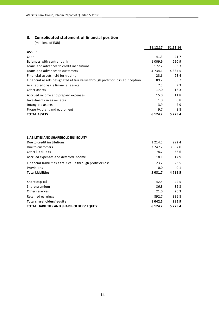# **3. Consolidated statement of financial position**

|                                                                               | 31.12.17    | 31.12.16   |
|-------------------------------------------------------------------------------|-------------|------------|
| <b>ASSETS</b>                                                                 |             |            |
| Cash                                                                          | 41.3        | 41.7       |
| Balances with central bank                                                    | 1 009.9     | 250.9      |
| Loans and advances to credit institutions                                     | 172.2       | 983.3      |
| Loans and advances to customers                                               | 4 7 3 4 . 1 | 4 3 3 7 .5 |
| Financial assets held for trading                                             | 23.6        | 23.4       |
| Financial assets designated at fair value through profit or loss at inception | 89.2        | 86.7       |
| Available-for-sale financial assets                                           | 7.3         | 9.3        |
| Other assets                                                                  | 17.0        | 18.3       |
| Accrued income and prepaid expenses                                           | 15.0        | 11.8       |
| Investments in associates                                                     | 1.0         | 0.8        |
| Intangible assets                                                             | 3.9         | 2.9        |
| Property, plant and equipment                                                 | 9.7         | 8.8        |
| <b>TOTAL ASSETS</b>                                                           | 6 1 2 4 . 2 | 5 7 7 5.4  |
|                                                                               |             |            |
| <b>LIABILITIES AND SHAREHOLDERS' EQUITY</b>                                   |             |            |
| Due to credit institutions                                                    | 1 2 1 4 .5  | 992.4      |
| Due to customers                                                              | 3 747.2     | 3 6 8 7 .0 |
| Other liabilities                                                             | 78.7        | 68.6       |
| Accrued expenses and deferred income                                          | 18.1        | 17.9       |
| Financial liabilities at fair value through profit or loss                    | 23.2        | 23.5       |
| Provisions                                                                    | 0.0         | 0.1        |
| <b>Total Liabilities</b>                                                      | 5 081.7     | 4789.5     |
| Share capital                                                                 | 42.5        | 42.5       |
| Share premium                                                                 | 86.3        | 86.3       |
| Other reserves                                                                | 21.0        | 20.3       |
| Retained earnings                                                             | 892.7       | 836.8      |
| Total shareholders' equity                                                    | 1 042.5     | 985.9      |
| TOTAL LIABILITIES AND SHAREHOLDERS' EQUITY                                    | 6 1 2 4 . 2 | 5 7 7 5.4  |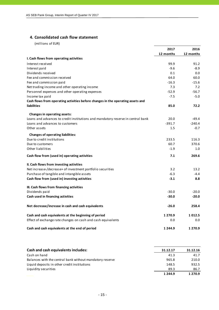# **4. Consolidated cash flow statement**

|                                                                                 | 2017      | 2016      |
|---------------------------------------------------------------------------------|-----------|-----------|
|                                                                                 | 12 months | 12 months |
| I. Cash flows from operating activities                                         |           |           |
| Interest received                                                               | 99.9      | 91.2      |
| Interest paid                                                                   | $-9.6$    | $-8.9$    |
| Dividends received                                                              | 0.1       | 0.0       |
| Fee and commission received                                                     | 64.0      | 60.0      |
| Fee and commission paid                                                         | $-16.3$   | $-15.6$   |
| Net trading income and other operating income                                   | 7.3       | 7.2       |
| Personnel expenses and other operating expenses                                 | $-52.9$   | $-56.7$   |
| Income tax paid                                                                 | $-7.5$    | $-5.0$    |
| Cash flows from operating activities before changes in the operating assets and |           |           |
| <b>liabilities</b>                                                              | 85.0      | 72.2      |
| Changes in operating assets:                                                    |           |           |
| Loans and advances to credit institutions and mandatory reserve in central bank | 20.0      | $-49.4$   |
| Loans and advances to customers                                                 | $-391.7$  | $-240.4$  |
| Other assets                                                                    | 1.5       | $-0.7$    |
| <b>Changes of operating liabilities:</b>                                        |           |           |
| Due to credit institutions                                                      | 233.5     | 116.3     |
| Due to customers                                                                | 60.7      | 370.6     |
| Other liabilities                                                               | $-1.9$    | 1.0       |
| Cash flow from (used in) operating activities                                   | 7.1       | 269.6     |
| II. Cash flows from investing activities                                        |           |           |
| Net increase-/decrease+ of investment portfolio securities                      | 3.2       | 13.2      |
| Purchase of tangible and intangible assets                                      | $-6.3$    | $-4.4$    |
| Cash flow from (used in) investing activities                                   | $-3.1$    | 8.8       |
| III. Cash flows from financing activities                                       |           |           |
| Dividends paid                                                                  | $-30.0$   | $-20.0$   |
| Cash used in financing activities                                               | $-30.0$   | $-20.0$   |
| Net decrease/increase in cash and cash equivalents                              | $-26.0$   | 258.4     |
| Cash and cash equivalents at the beginning of period                            | 1 270.9   | 1012.5    |
| Effect of exchange rate changes on cash and cash equivalents                    | 0.0       | 0.0       |
| Cash and cash equivalents at the end of period                                  | 1 244.9   | 1 2 7 0.9 |

| Cash and cash equivalents includes:                      | 31.12.17   | 31.12.16   |
|----------------------------------------------------------|------------|------------|
| Cash on hand                                             | 41.3       | 41.7       |
| Balances with the central bank without mandatory reserve | 965.8      | 210.0      |
| Liquid deposits in other credit institutions             | 148.5      | 932.5      |
| Liquidity securities                                     | 89.3       | 86.7       |
|                                                          | 1 2 4 4 .9 | 1 2 7 0 .9 |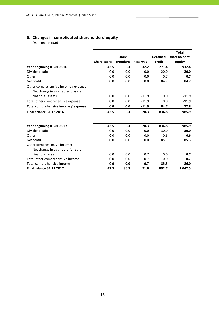# **5. Changes in consolidated shareholders' equity**

|                                       |                       |              |                 |                 | <b>Total</b>  |
|---------------------------------------|-----------------------|--------------|-----------------|-----------------|---------------|
|                                       |                       | <b>Share</b> |                 | <b>Retained</b> | shareholders' |
|                                       | Share capital premium |              | <b>Reserves</b> | profit          | equity        |
| Year beginning 01.01.2016             | 42.5                  | 86.3         | 32.2            | 771.4           | 932.4         |
| Dividend paid                         | 0.0                   | 0.0          | 0.0             | $-20.0$         | $-20.0$       |
| Other                                 | 0.0                   | 0.0          | 0.0             | 0.7             | 0.7           |
| Net profit                            | 0.0                   | 0.0          | 0.0             | 84.7            | 84.7          |
| Other comprehensive income / expense: |                       |              |                 |                 |               |
| Net change in available-for-sale      |                       |              |                 |                 |               |
| financial assets                      | 0.0                   | 0.0          | $-11.9$         | 0.0             | $-11.9$       |
| Total other comprehensive expense     | 0.0                   | 0.0          | $-11.9$         | 0.0             | $-11.9$       |
| Total comprehensive income / expense  | 0.0                   | 0.0          | $-11.9$         | 84.7            | 72.8          |
| <b>Final balance 31.12.2016</b>       | 42.5                  | 86.3         | 20.3            | 836.8           | 985.9         |
| Year beginning 01.01.2017             | 42.5                  | 86.3         | 20.3            | 836.8           | 985.9         |
| Dividend paid                         | 0.0                   | 0.0          | 0.0             | $-30.0$         | $-30.0$       |
| Other                                 | 0.0                   | 0.0          | 0.0             | 0.6             | 0.6           |
| Net profit                            | 0.0                   | 0.0          | 0.0             | 85.3            | 85.3          |
| Other comprehensive income:           |                       |              |                 |                 |               |
| Net change in available-for-sale      |                       |              |                 |                 |               |
| financial assets                      | 0.0                   | 0.0          | 0.7             | 0.0             | 0.7           |
| Total other comprehensive income      | 0.0                   | 0.0          | 0.7             | 0.0             | 0.7           |
| <b>Total comprehensive income</b>     | 0.0                   | 0.0          | 0.7             | 85.3            | 86.0          |
| <b>Final balance 31.12.2017</b>       | 42.5                  | 86.3         | 21.0            | 892.7           | 1 042.5       |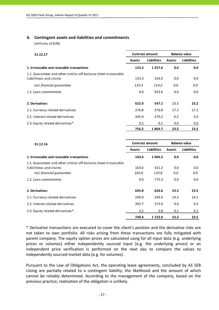## **6. Contingent assets and liabilities and commitments**

(millions of EUR)

| 31.12.17                                                                                   | <b>Contract amount</b><br><b>Balance value</b> |             |               |                    |
|--------------------------------------------------------------------------------------------|------------------------------------------------|-------------|---------------|--------------------|
|                                                                                            | <b>Assets</b>                                  | Liabilities | <b>Assets</b> | <b>Liabilities</b> |
| 1. Irrevocable and revocable transactions                                                  | 133.3                                          | 1 2 5 7 .6  | 0.0           | 0.0                |
| 1.1. Guarantees and other similar off-balance sheet irrovocable<br>liabilitieas and claims | 133.3                                          | 324.0       | 0.0           | 0.0                |
| incl. financial quarantees                                                                 | 133.3                                          | 114.2       | 0.0           | 0.0                |
| 1.2. Loan commitments                                                                      | 0.0                                            | 933.6       | 0.0           | 0.0                |
| 2. Derivatives                                                                             | 622.9                                          | 547.1       | 23.5          | 23.2               |
| 2.1. Currency related derivatives                                                          | 276.8                                          | 276.8       | 17.3          | 17.3               |
| 2.2. Interest related derivatives                                                          | 345.9                                          | 270.2       | 6.2           | 5.9                |
| 2.3. Equity related derivatives*                                                           | 0.2                                            | 0.1         | 0.0           | 0.0                |
|                                                                                            | 756.2                                          | 1804.7      | 23.5          | 23.2               |

| 31.12.16                                                        | <b>Balance value</b><br><b>Contract amount</b> |                    |               |                    |
|-----------------------------------------------------------------|------------------------------------------------|--------------------|---------------|--------------------|
|                                                                 | <b>Assets</b>                                  | <b>Liabilities</b> | <b>Assets</b> | <b>Liabilities</b> |
| 1. Irrevocable and revocable transactions                       | 103.6                                          | 1096.3             | 0.0           | 0.0                |
| 1.1. Guarantees and other similar off-balance sheet irrovocable |                                                |                    |               |                    |
| liabilitieas and claims                                         | 103.6                                          | 321.2              | 0.0           | 0.0                |
| incl. financial quarantees                                      | 103.6                                          | 133.8              | 0.0           | 0.0                |
| 1.2. Loan commitments                                           | 0.0                                            | 775.3              | 0.0           | 0.0                |
| 2. Derivatives                                                  | 645.8                                          | 626.6              | 23.3          | 23.5               |
| 2.1. Currency related derivatives                               | 249.9                                          | 249.9              | 14.2          | 14.1               |
| 2.2. Interest related derivatives                               | 392.7                                          | 373.9              | 9.0           | 9.3                |
| 2.3. Equity related derivatives*                                | 3.2                                            | 2.8                | 0.1           | 0.1                |
|                                                                 | 749.4                                          | 1722.9             | 23.3          | 23.5               |

\* Derivative transactions are executed to cover the client's position and the derivative risks are not taken to own portfolio. All risks arising from these transactions are fully mitigated with parent company. The equity option prices are calculated using for all input data (e.g. underlying prices or volumes) either independently sourced input (e.g. the underlying prices) or an independent price verification is performed on the next day to compare the values to independently sourced market data (e.g. for volumes).

Pursuant to the Law of Obligations Act, the operating lease agreements, concluded by AS SEB Liising are partially related to a contingent liability, the likelihood and the amount of which cannot be reliably determined. According to the management of the company, based on the previous practice, realization of the obligation is unlikely.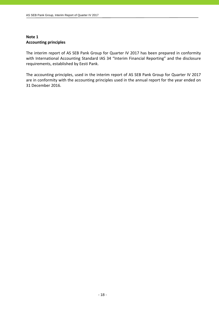# **Note 1 Accounting principles**

The interim report of AS SEB Pank Group for Quarter IV 2017 has been prepared in conformity with International Accounting Standard IAS 34 "Interim Financial Reporting" and the disclosure requirements, established by Eesti Pank.

The accounting principles, used in the interim report of AS SEB Pank Group for Quarter IV 2017 are in conformity with the accounting principles used in the annual report for the year ended on 31 December 2016.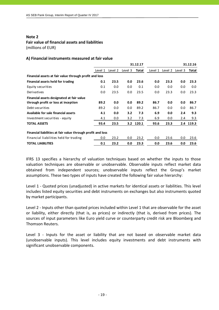# **Fair value of financial assets and liabilities**

(millions of EUR)

# **A) Financial instruments measured at fair value**

|                                                             | 31.12.17 |         |         |       |         |         | 31.12.16 |       |
|-------------------------------------------------------------|----------|---------|---------|-------|---------|---------|----------|-------|
|                                                             | Level 1  | Level 2 | Level 3 | Total | Level 1 | Level 2 | Level 3  | Total |
| Financial assets at fair value through profit and loss      |          |         |         |       |         |         |          |       |
| Financial assets held for trading                           | 0.1      | 23.5    | 0.0     | 23.6  | 0.0     | 23.3    | 0.0      | 23.3  |
| Equity securities                                           | 0.1      | 0.0     | 0.0     | 0.1   | 0.0     | 0.0     | 0.0      | 0.0   |
| Derivatives                                                 | 0.0      | 23.5    | 0.0     | 23.5  | 0.0     | 23.3    | 0.0      | 23.3  |
| Financial assets designated at fair value                   |          |         |         |       |         |         |          |       |
| through profit or loss at inception                         | 89.2     | 0.0     | 0.0     | 89.2  | 86.7    | 0.0     | 0.0      | 86.7  |
| Debt securities                                             | 89.2     | 0.0     | 0.0     | 89.2  | 86.7    | 0.0     | 0.0      | 86.7  |
| Available for sale financial assets                         | 4.1      | 0.0     | 3.2     | 7.3   | 6.9     | 0.0     | 2.4      | 9.3   |
| Investment securities - equity                              | 4.1      | 0.0     | 3.2     | 7.3   | 6.9     | 0.0     | 2.4      | 9.3   |
| <b>TOTAL ASSETS</b>                                         | 93.4     | 23.5    | 3.2     | 120.1 | 93.6    | 23.3    | 2.4      | 119.3 |
| Financial liabilities at fair value through profit and loss |          |         |         |       |         |         |          |       |
| Financial liabilities held for trading                      | 0.0      | 23.2    | 0.0     | 23.2  | 0.0     | 23.6    | 0.0      | 23.6  |
| TOTAL LIABILITIES                                           | 0.1      | 23.2    | 0.0     | 23.3  | 0.0     | 23.6    | 0.0      | 23.6  |

IFRS 13 specifies a hierarchy of valuation techniques based on whether the inputs to those valuation techniques are observable or unobservable. Observable inputs reflect market data obtained from independent sources; unobservable inputs reflect the Group's market assumptions. These two types of inputs have created the following fair value hierarchy:

Level 1 ‐ Quoted prices (unadjusted) in active markets for identical assets or liabilities. This level includes listed equity securities and debt instruments on exchanges but also instruments quoted by market participants.

Level 2 ‐ Inputs other than quoted prices included within Level 1 that are observable for the asset or liability, either directly (that is, as prices) or indirectly (that is, derived from prices). The sources of input parameters like Euro yield curve or counterparty credit risk are Bloomberg and Thomson Reuters.

Level 3 - Inputs for the asset or liability that are not based on observable market data (unobservable inputs). This level includes equity investments and debt instruments with significant unobservable components.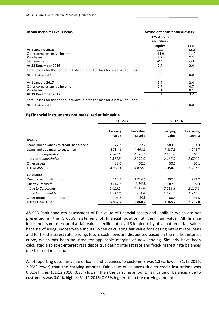| <b>Reconciliation of Level 3 Items</b>                                        | Available-for-sale financial assets |         |
|-------------------------------------------------------------------------------|-------------------------------------|---------|
|                                                                               | Investment                          |         |
|                                                                               | securities -                        |         |
|                                                                               | equity                              | Total   |
| At 1 January 2016                                                             | 12.2                                | 12.2    |
| Other comprehensive income                                                    | $-11.9$                             | $-11.9$ |
| Purchases                                                                     | 2.2                                 | 2.2     |
| <b>Settlements</b>                                                            | $-0.1$                              | $-0.1$  |
| At 31 December 2016                                                           | 2.4                                 | 2.4     |
| Total losses for the period included in profit or loss for assets/liabilities |                                     |         |
| held at 31.12.16                                                              | 0.0                                 | 0.0     |
| At 1 January 2017                                                             | 2.4                                 | 2.4     |
| Other comprehensive income                                                    | 0.7                                 | 0.7     |
| Purchases                                                                     | 0.1                                 | 0.1     |
| At 31 December 2017                                                           | 3.2                                 | 3.2     |
| Total losses for the period included in profit or loss for assets/liabilities |                                     |         |
| held at 31.12.17                                                              | 0.0                                 | 0.0     |

#### **B) Financial instruments not measured at fair value**

|                                           | 31.12.17                 |                        | 31.12.16                 |                        |  |  |
|-------------------------------------------|--------------------------|------------------------|--------------------------|------------------------|--|--|
|                                           | <b>Carrying</b><br>value | Fair value,<br>Level 3 | <b>Carrying</b><br>value | Fair value,<br>Level 3 |  |  |
| <b>ASSETS</b>                             |                          |                        |                          |                        |  |  |
| Loans and advances to credit institutions | 172.2                    | 172.2                  | 983.3                    | 983.3                  |  |  |
| Loans and advances to customers           | 4 7 3 4 . 1              | 4 6 6 8 . 1            | 4 3 3 7 .5               | 4 2 4 8 .7             |  |  |
| Loans to Corporates                       | 2 362.6                  | 2 3 7 5 . 2            | 2 169.6                  | 2 1 7 2 . 5            |  |  |
| Loans to households                       | 2 371.5                  | 2 2 9 2 .9             | 2 167.9                  | 2076.2                 |  |  |
| Other assets                              | 32.0                     | 32.0                   | 30.1                     | 30.1                   |  |  |
| <b>TOTAL ASSETS</b>                       | 4938.3                   | 4872.3                 | 5 3 5 0.9                | 5 262.1                |  |  |
| <b>LIABILITIES</b>                        |                          |                        |                          |                        |  |  |
| Due to credit institutions                | 1 2 1 4 .5               | 1 2 1 4 .6             | 992.4                    | 989.2                  |  |  |
| Due to customers                          | 3 747.2                  | 3 748.8                | 3 687.0                  | 3 689.3                |  |  |
| Due to Corporates                         | 2015.3                   | 2017.0                 | 2 1 1 3 .8               | 2 1 1 6 . 3            |  |  |
| Due to households                         | 1731.9                   | 1731.8                 | 1573.2                   | 1573.0                 |  |  |
| Other financial liabilities               | 96.8                     | 96.8                   | 86.5                     | 86.5                   |  |  |
| <b>TOTAL LIABILITIES</b>                  | 5058.5                   | 5 0 6 0.2              | 4765.9                   | 4 7 6 5 .0             |  |  |

AS SEB Pank conducts assessment of fair value of financial assets and liabilities which are not presented in the Group's statement of financial position at their fair value. All finance instruments not measured at fair value specified at Level 3 in hierarchy of valuation of fair value, because of using unobservable inputs. When calculating fair value for floating interest rate loans and for fixed-interest rate lending, future cash flows are discounted based on the market interest curve, which has been adjusted for applicable margins of new lending. Similarly have been calculated also fixed‐interest rate deposits, floating interest rate and fixed‐interest rate balances due to credit institutions.

As of reporting date fair value of loans and advances to customers was 1.39% lower (31.12.2016: 2.05% lower) than the carrying amount. Fair value of balances due to credit institutions was 0.01% higher (31.12.2016: 0.33% lower) than the carrying amount. Fair value of balances due to customers was 0.04% higher (31.12.2016: 0.06% higher) than the carrying amount.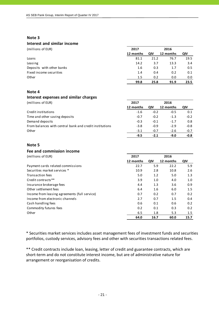## **Interest and similar income**

| (millions of EUR)         | 2017      |      | 2016      |      |
|---------------------------|-----------|------|-----------|------|
|                           | 12 months | QIV  | 12 months | QIV  |
| Loans                     | 81.1      | 21.2 | 76.7      | 19.5 |
| Leasing                   | 14.2      | 3.7  | 13.3      | 3.4  |
| Deposits with other banks | 1.6       | 0.3  | 1.7       | 0.5  |
| Fixed income securities   | 1.4       | 0.4  | 0.2       | 0.1  |
| Other                     | 1.5       | 0.2  | 0.0       | 0.0  |
|                           | 99.8      | 25.8 | 91.9      | 23.5 |

#### **Note 4**

| Interest expenses and similar charges                   |           |        |           |        |
|---------------------------------------------------------|-----------|--------|-----------|--------|
| (millions of EUR)                                       | 2017      |        | 2016      |        |
|                                                         | 12 months | QIV    | 12 months | QIV    |
| Credit institutions                                     | $-1.6$    | $-0.2$ | $-0.5$    | 0.1    |
| Time and other saving deposits                          | $-0.7$    | $-0.2$ | $-1.3$    | $-0.2$ |
| Demand deposits                                         | $-0.3$    | $-0.1$ | $-1.7$    | 0.8    |
| From balances with central bank and credit institutions | $-3.8$    | $-0.9$ | $-2.9$    | $-0.8$ |
| Other                                                   | $-3.1$    | $-0.7$ | $-2.6$    | $-0.7$ |
|                                                         | $-9.5$    | $-2.1$ | $-9.0$    | $-0.8$ |

#### **Note 5**

# **Fee and commission income**

| (millions of EUR)                             | 2017      |      | 2016      |      |
|-----------------------------------------------|-----------|------|-----------|------|
|                                               | 12 months | QIV  | 12 months | QIV  |
| Payment cards related commissions             | 22.7      | 5.9  | 22.2      | 5.9  |
| Securities market services *                  | 10.9      | 2.8  | 10.8      | 2.6  |
| Transaction fees                              | 5.0       | 1.2  | 5.0       | 1.3  |
| Credit contracts**                            | 3.9       | 1.0  | 4.0       | 1.0  |
| Insurance brokerage fees                      | 4.4       | 1.3  | 3.6       | 0.9  |
| Other settlement fees                         | 6.4       | 1.6  | 6.0       | 1.5  |
| Income from leasing agreements (full service) | 0.7       | 0.2  | 0.7       | 0.2  |
| Income from electronic channels               | 2.7       | 0.7  | 1.5       | 0.4  |
| Cash handling fees                            | 0.6       | 0.1  | 0.6       | 0.2  |
| Commodity futures fees                        | 0.2       | 0.1  | 0.3       | 0.2  |
| Other                                         | 6.5       | 1.8  | 5.3       | 1.5  |
|                                               | 64.0      | 16.7 | 60.0      | 15.7 |

\* Securities market services includes asset management fees of investment funds and securities portfolios, custody services, advisory fees and other with securities transactions related fees.

\*\* Credit contracts include loan, leasing, letter of credit and guarantee contracts, which are short‐term and do not constitute interest income, but are of administrative nature for arrangement or reorganisation of credits.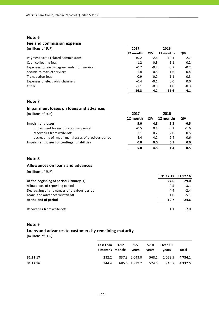# **Fee and commission expense**

(millions of EUR) **2017 2016**

|                                               | 12 month: | QIV    | 12 months | QIV    |
|-----------------------------------------------|-----------|--------|-----------|--------|
| Payment cards related commissions             | $-10.2$   | $-2.6$ | $-10.1$   | $-2.7$ |
| Cash collecting fees                          | $-1.2$    | $-0.3$ | $-1.1$    | $-0.2$ |
| Expenses to leasing agreements (full service) | $-0.7$    | $-0.2$ | $-0.7$    | $-0.2$ |
| Securities market services                    | $-1.8$    | $-0.5$ | $-1.6$    | $-0.4$ |
| Transaction fees                              | $-0.9$    | $-0.2$ | $-1.1$    | $-0.3$ |
| Expenses of electronic channels               | $-0.4$    | $-0.1$ | 0.0       | 0.0    |
| Other                                         | $-1.1$    | $-0.3$ | $-1.0$    | $-0.3$ |
|                                               | $-16.3$   | $-4.2$ | $-15.6$   | $-4.1$ |

#### **Note 7**

| Impairment losses on loans and advances            |          |     |           |               |
|----------------------------------------------------|----------|-----|-----------|---------------|
| (millions of EUR)                                  | 2017     |     | 2016      |               |
|                                                    | 12 month | QIV | 12 months | QIV           |
| <b>Impairment losses</b>                           | 5.0      | 4.8 | 1.3       | $-0.5$        |
| impairment losses of reporting period              | $-0.5$   | 0.4 | $-3.1$    | $-1.6$        |
| recoveries from write-offs                         | 1.1      | 0.2 | 2.0       | $0.5^{\circ}$ |
| decreasing of impairment losses of previous period | 4.4      | 4.2 | 2.4       | 0.6           |
| Impairment losses for contingent liabilities       | 0.0      | 0.0 | 0.1       | 0.0           |
|                                                    | 5.0      | 4.8 | 1.4       | $-0.5$        |

# **Note 8**

## **Allowances on loans and advances**

(millions of EUR)

|                                             | 31.12.17 | 31.12.16 |
|---------------------------------------------|----------|----------|
| At the beginning of period (January, 1)     | 24.6     | 29.0     |
| Allowances of reporting period              | 0.5      | 3.1      |
| Decreasing of allowances of previous period | $-4.4$   | $-2.4$   |
| Loans and advances written off              | $-1.0$   | $-5.1$   |
| At the end of period                        | 19.7     | 24.6     |
| Recoveries from write-offs                  | 1.1      | 2.0      |

#### **Note 9**

# **Loans and advances to customers by remaining maturity**

|          | Less than 3-12 1-5 5-10<br>3 months months | vears | vears | Over 10<br>vears                 | Total |
|----------|--------------------------------------------|-------|-------|----------------------------------|-------|
| 31.12.17 | 232.2                                      |       |       | 837.3 2043.0 568.1 1053.5 4734.1 |       |
| 31.12.16 | 244.4                                      |       |       | 685.6 1939.2 524.6 943.7 4337.5  |       |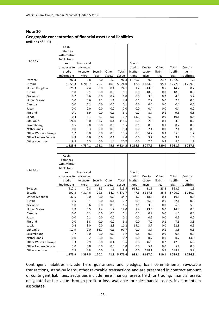# **Geographic concentration of financial assets and liabilities**

(millions of EUR)

| 31.12.17             | Cash,<br>balances<br>with central<br>bank, Ioans<br>and<br>advances to | Loans and<br>advances |         |        |             | Due to<br>credit | Due to     | Other    | Total       | Contin-     |
|----------------------|------------------------------------------------------------------------|-----------------------|---------|--------|-------------|------------------|------------|----------|-------------|-------------|
|                      | credit                                                                 | to custo-             | Securi- | Other  | Total       | institu-         | custo-     | liabili- | liabili-    | gent        |
|                      | institutions                                                           | mers                  | ties    | assets | assets      | tions            | mers       | ties     | ties        | liabilities |
| Sweden               | 92.3                                                                   | 0.8                   | 2.0     | 1.2    | 96.3        | 1 1 5 0 . 2      | 9.5        | 23.2     | 1 1 8 2 . 9 | 1.0         |
| Estonia              | 1051.3                                                                 | 4705.7                | 26.7    | 40.3   | 5 8 2 4 .0  | 47.8             | 3 6 3 4 .9 | 95.1     | 3 7 7 7 .8  | 1 2 3 9 .0  |
| United Kingdom       | 21.3                                                                   | 2.4                   | 0.0     | 0.4    | 24.1        | 1.2              | 13.0       | 0.5      | 14.7        | 0.7         |
| Russia               | 5.0                                                                    | 0.1                   | 0.0     | 0.0    | 5.1         | 0.0              | 18.3       | 0.0      | 18.3        | 0.0         |
| Germany              | 0.2                                                                    | 0.6                   | 0.0     | 0.2    | 1.0         | 0.0              | 3.8        | 0.2      | 4.0         | 5.2         |
| <b>United States</b> | 0.0                                                                    | 0.6                   | 3.1     | 1.1    | 4.8         | 0.1              | 2.2        | 0.0      | 2.3         | 0.0         |
| Canada               | 0.0                                                                    | 0.1                   | 0.0     | 0.0    | 0.1         | 0.0              | 0.4        | 0.0      | 0.4         | 0.0         |
| Japan                | 0.0                                                                    | 0.0                   | 0.0     | 0.0    | 0.0         | 0.0              | 0.4        | 0.0      | 0.4         | 0.0         |
| Finland              | 0.1                                                                    | 5.9                   | 0.0     | 0.1    | 6.1         | 0.7              | 8.7        | 0.1      | 9.5         | 6.6         |
| Latvia               | 0.4                                                                    | 9.1                   | 2.1     | 0.1    | 11.7        | 14.1             | 5.0        | 0.0      | 19.1        | 0.5         |
| Lithuania            | 24.0                                                                   | 0.0                   | 87.2    | 0.4    | 111.6       | 0.0              | 2.9        | 0.1      | 3.0         | 0.2         |
| Luxembourg           | 0.5                                                                    | 0.0                   | 0.0     | 0.0    | 0.5         | 0.1              | 0.0        | 0.1      | 0.2         | 0.0         |
| Netherlands          | 0.0                                                                    | 0.3                   | 0.0     | 0.0    | 0.3         | 0.0              | 2.1        | 0.0      | 2.1         | 0.0         |
| Other Western Europe | 5.2                                                                    | 8.0                   | 0.0     | 0.3    | 13.5        | 0.3              | 34.7       | 0.3      | 35.3        | 1.7         |
| Other Eastern Europe | 4.3                                                                    | 0.0                   | 0.0     | 0.1    | 4.4         | 0.0              | 3.7        | 0.0      | 3.7         | 1.0         |
| Other countries      | 18.8                                                                   | 0.5                   | 0.0     | 1.4    | 20.7        | 0.0              | 7.6        | 0.4      | 8.0         | 1.7         |
|                      | 1 2 2 3 . 4                                                            | 4734.1                | 121.1   | 45.6   | 6 1 2 4 . 2 | 1 2 1 4 .5       | 3 747.2    | 120.0    | 5 081.7     | 1 2 5 7 .6  |
|                      |                                                                        |                       |         |        |             |                  |            |          |             |             |
|                      |                                                                        |                       |         |        |             |                  |            |          |             |             |

|                      | Cash,        |            |         |        |           |          |             |          |             |             |
|----------------------|--------------|------------|---------|--------|-----------|----------|-------------|----------|-------------|-------------|
|                      | balances     |            |         |        |           |          |             |          |             |             |
|                      | with central |            |         |        |           |          |             |          |             |             |
| 31.12.16             | bank, loans  |            |         |        |           |          |             |          |             |             |
|                      | and          | Loans and  |         |        |           | Due to   |             |          |             |             |
|                      | advances to  | advances   |         |        |           | credit   | Due to      | Other    | Total       | Contin-     |
|                      | credit       | to custo-  | Securi- | Other  | Total     | institu- | custo-      | liabili- | liabili-    | gent        |
|                      | institutions | mers       | ties    | assets | assets    | tions    | mers        | ties     | <b>ties</b> | liabilities |
| Sweden               | 912.1        | 0.8        | 1.5     | 1.1    | 915.5     | 918.1    | 11.9        | 23.2     | 953.2       | 1.5         |
| Estonia              | 292.8        | 4 3 1 4 .6 | 29.6    | 34.7   | 4 671.7   | 47.3     | 3 3 5 7 . 5 | 85.4     | 3 4 9 0.2   | 1 0 6 0.7   |
| United Kingdom       | 32.5         | 2.0        | 0.0     | 0.2    | 34.7      | 1.2      | 18.0        | 0.4      | 19.6        | 0.0         |
| Russia               | 0.5          | 0.1        | 0.0     | 0.1    | 0.7       | 0.5      | 26.6        | 0.0      | 27.1        | 0.0         |
| Germany              | 1.0          | 0.6        | 0.0     | 0.0    | 1.6       | 3.1      | 3.5         | 0.0      | 6.6         | 5.0         |
| United States        | 7.9          | 0.5        | 2.4     | 1.2    | 12.0      | 1.4      | 13.5        | 0.0      | 14.9        | 0.0         |
| Canada               | 0.0          | 0.1        | 0.0     | 0.0    | 0.1       | 0.1      | 0.9         | 0.0      | 1.0         | 0.0         |
| Japan                | 0.0          | 0.1        | 0.0     | 0.0    | 0.1       | 0.0      | 0.5         | 0.0      | 0.5         | 0.0         |
| Finland              | 0.0          | 3.8        | 0.0     | 0.0    | 3.8       | 0.0      | 7.0         | 0.1      | 7.1         | 3.6         |
| Latvia               | 0.4          | 8.0        | 0.0     | 2.8    | 11.2      | 19.1     | 3.7         | 0.0      | 22.8        | 0.5         |
| Lithuania            | 12.9         | 0.0        | 86.7    | 0.1    | 99.7      | 0.0      | 3.7         | 0.1      | 3.8         | 0.3         |
| Luxembourg           | 1.7          | 0.0        | 0.0     | 0.0    | 1.7       | 0.8      | 0.0         | 0.0      | 0.8         | 0.0         |
| Netherlands          | 0.0          | 0.2        | 0.0     | 0.0    | 0.2       | 0.0      | 0.7         | 0.0      | 0.7         | 14.3        |
| Other Western Europe | 3.3          | 5.9        | 0.0     | 0.4    | 9.6       | 0.8      | 46.0        | 0.2      | 47.0        | 6.5         |
| Other Eastern Europe | 3.0          | 0.0        | 0.0     | 0.0    | 3.0       | 0.0      | 5.4         | 0.0      | 5.4         | 0.0         |
| Other countries      | 7.8          | 0.8        | 0.0     | 1.2    | 9.8       | 0.0      | 188.1       | 0.7      | 188.8       | 3.9         |
|                      | 1 2 7 5 .9   | 4337.5     | 120.2   | 41.8   | 5 7 7 5.4 | 992.4    | 3687.0      | 110.1    | 4789.5      | 1096.3      |

Contingent liabilities include here guarantees and pledges, loan commitments, revocable transactions, stand‐by loans, other revocable transactions and are presented in contract amount of contingent liabilities. Securities include here financial assets held for trading, financial assets designated at fair value through profit or loss, available‐for‐sale financial assets, investments in associates.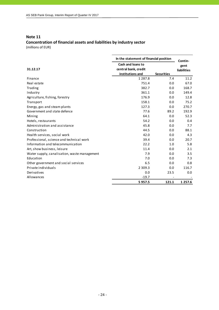# **Note 11 Concentration of financial assets and liabilities by industry sector**

|                                              | In the statement of financial position | Contin-           |             |
|----------------------------------------------|----------------------------------------|-------------------|-------------|
|                                              | <b>Cash and loans to</b>               |                   | gent        |
| 31.12.17                                     | central bank, credit                   |                   | liabilities |
|                                              | institutions and                       | <b>Securities</b> |             |
| Finance                                      | 1 2 8 7 . 8                            | 7.4               | 11.2        |
| Real estate                                  | 751.4                                  | 0.0               | 67.0        |
| Trading                                      | 382.7                                  | 0.0               | 168.7       |
| Industry                                     | 361.1                                  | 0.0               | 149.4       |
| Agriculture, fishing, forestry               | 176.9                                  | 0.0               | 12.8        |
| Transport                                    | 158.1                                  | 0.0               | 75.2        |
| Energy, gas and steam plants                 | 127.3                                  | 0.0               | 270.7       |
| Government and state defence                 | 77.6                                   | 89.2              | 192.9       |
| Mining                                       | 64.1                                   | 0.0               | 52.3        |
| Hotels, restaurants                          | 54.2                                   | 0.0               | 0.4         |
| Administration and assistance                | 45.8                                   | 0.0               | 7.7         |
| Construction                                 | 44.5                                   | 0.0               | 88.1        |
| Health services, social work                 | 42.0                                   | 0.0               | 4.3         |
| Professional, science and technical work     | 39.4                                   | 0.0               | 20.7        |
| Information and telecommunication            | 22.2                                   | 1.0               | 5.8         |
| Art, show business, leisure                  | 11.4                                   | 0.0               | 2.1         |
| Water supply, canalisation, waste management | 7.9                                    | 0.0               | 3.5         |
| Education                                    | 7.0                                    | 0.0               | 7.3         |
| Other government and social services         | 6.5                                    | 0.0               | 0.8         |
| Private individuals                          | 2 3 0 9 . 3                            | 0.0               | 116.7       |
| Derivatives                                  | 0.0                                    | 23.5              | 0.0         |
| Allowances                                   | $-19.7$                                |                   |             |
|                                              | 5957.5                                 | 121.1             | 1 2 5 7 .6  |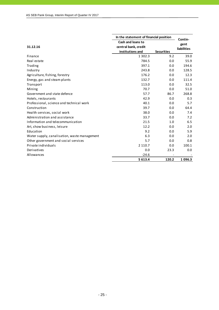|                                              | In the statement of financial position | Contin-           |                    |
|----------------------------------------------|----------------------------------------|-------------------|--------------------|
| Cash and loans to                            |                                        |                   | gent               |
| 31.12.16                                     | central bank, credit                   |                   | <b>liabilities</b> |
|                                              | institutions and                       | <b>Securities</b> |                    |
| Finance                                      | 1 3 0 2 . 3                            | 9.2               | 39.0               |
| Real estate                                  | 784.5                                  | 0.0               | 55.9               |
| Trading                                      | 397.1                                  | 0.0               | 194.6              |
| Industry                                     | 243.8                                  | 0.0               | 128.5              |
| Agriculture, fishing, forestry               | 176.2                                  | 0.0               | 12.3               |
| Energy, gas and steam plants                 | 132.7                                  | 0.0               | 111.4              |
| Transport                                    | 113.0                                  | 0.0               | 32.5               |
| Mining                                       | 70.7                                   | 0.0               | 51.0               |
| Government and state defence                 | 57.7                                   | 86.7              | 268.8              |
| Hotels, restaurants                          | 42.9                                   | 0.0               | 0.3                |
| Professional, science and technical work     | 40.1                                   | 0.0               | 5.7                |
| Construction                                 | 39.7                                   | 0.0               | 64.4               |
| Health services, social work                 | 38.0                                   | 0.0               | 7.4                |
| Administration and assistance                | 33.7                                   | 0.0               | 7.2                |
| Information and telecommunication            | 21.5                                   | 1.0               | 6.5                |
| Art, show business, leisure                  | 12.2                                   | 0.0               | 2.0                |
| Education                                    | 9.2                                    | 0.0               | 5.9                |
| Water supply, canalisation, waste management | 6.3                                    | 0.0               | 2.0                |
| Other government and social services         | 5.7                                    | 0.0               | 0.8                |
| Private individuals                          | 2 1 1 0 . 7                            | 0.0               | 100.1              |
| Derivatives                                  | 0.0                                    | 23.3              | 0.0                |
| Allowances                                   | $-24.6$                                |                   |                    |
|                                              | 5 613.4                                | 120.2             | 1096.3             |